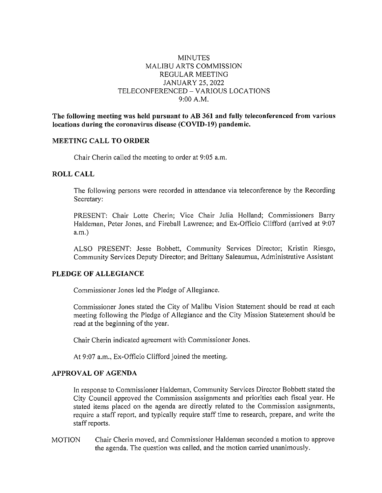# **MINUTES** MALIBU ARTS COMMISSION REGULAR MEETING JANUARY 25, 2022 TELECONFERENCED - VARIOUS LOCATIONS 9:00A.M.

**The following meeting was held pursuant to AB 361 and fully teleconferenced from various locations during the coronavirus disease (COVID-19) pandemic.** 

## **MEETING CALL TO ORDER**

Chair Cherin called the meeting to order at 9:05 a.m.

### **ROLL CALL**

The following persons were recorded in attendance via teleconference by the Recording Secretary:

PRESENT: Chair Lotte Cherin; Vice Chair Julia Holland; Commissioners Barry Haldeman, Peter Jones, and Fireball Lawrence; and Ex-Officio Clifford (arrived at 9:07 a.m.)

ALSO PRESENT: Jesse Bobbett, Community Services Director; Kristin Riesgo, Community Services Deputy Director; and Brittany Saleaumua, Administrative Assistant

### **PLEDGE OF ALLEGIANCE**

Commissioner Jones led the Pledge of Allegiance.

Commissioner Jones stated the City of Malibu Vision Statement should be read at each meeting following the Pledge of Allegiance and the City Mission Statetement should be read at the beginning of the year.

Chair Cherin indicated agreement with Commissioner Jones.

At 9:07 a.m., Ex-Officio Clifford joined the meeting.

## **APPROVAL OF AGENDA**

In response to Commissioner Haldeman, Community Services Director Bobbett stated the City Council approved the Commission assignments and priorities each fiscal year. He stated items placed on the agenda are directly related to the Commission assignments, require a staff report, and typically require staff time to research, prepare, and write the staff reports.

MOTION Chair Cherin moved, and Commissioner Haldeman seconded a motion to approve the agenda. The question was called, and the motion carried unanimously.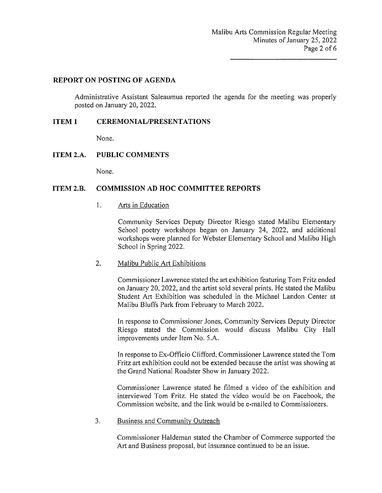## **REPORT ON POSTING OF AGENDA**

Administrative Assistant Saleaumua reported the agenda for the meeting was properly posted on January 20, 2022.

## **ITEM 1 CEREMONIAL/PRESENTATIONS**

None.

# **ITEM 2.A. PUBLIC COMMENTS**

None.

# **ITEM 2.B. COMMISSION AD HOC COMMITTEE REPORTS**

### I. Arts in Education

Community Services Deputy Director Riesgo stated Malibu Elementary School poetry workshops began on January 24, 2022, and additional workshops were planned for Webster Elementary School and Malibu High School in Spring 2022.

#### 2. Malibu Public Art Exhibitions

Commissioner Lawrence stated the art exhibition featuring Tom Fritz ended on January 20, 2022, and the artist sold several prints. He stated the Malibu Student Att Exhibition was scheduled in the Michael Landon Center at Malibu Bluffs Park from February to March 2022.

In response to Commissioner Jones, Community Services Deputy Director Riesgo stated the Commission would discuss Malibu City Hall improvements under Item No. 5.A.

In response to Ex-Officio Clifford, Commissioner Lawrence stated the Tom Fritz art exhibition could not be extended because the artist was showing at the Grand National Roadster Show in January 2022.

Commissioner Lawrence stated he filmed a video of the exhibition and interviewed Tom Fritz. He stated the video would be on Facebook, the Commission website, and the link would be e-mailed to Commissioners.

### 3. Business and Community Outreach

Commissioner Haldeman stated the Chamber of Commerce supported the Art and Business proposal, but insurance continued to be an issue.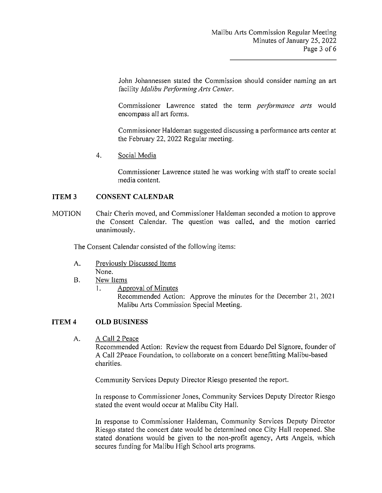John Johannessen stated the Commission should consider naming an art facility *Malibu Performing Arts Center*.

Commissioner Lawrence stated the term *performance arts* would encompass all art forms.

Commissioner Haldeman suggested discussing a performance arts center at the February 22, 2022 Regular meeting.

4. Social Media

Commissioner Lawrence stated he was working with staff to create social media content.

### **ITEM3 CONSENT CALENDAR**

**MOTION** Chair Cherin moved, and Commissioner Haldeman seconded a motion to approve the Consent Calendar. The question was called, and the motion carried unanimously.

The Consent Calendar consisted of the following items:

- A. Previously Discussed Items None.
- B. New Items
	- 1. Approval of Minutes

Recommended Action: Approve the minutes for the December 21, 2021 Malibu Arts Commission Special Meeting.

#### **ITEM4 OLD BUSINESS**

A. A Call 2 Peace

> Recommended Action: Review the request from Eduardo Del Signore, founder of A Call 2Peace Foundation, to collaborate on a concert benefitting Malibu-based charities.

Community Services Deputy Director Riesgo presented the report.

In response to Commissioner Jones, Community Services Deputy Director Riesgo stated the event would occur at Malibu City Hall.

In response to Commissioner Haldeman, Community Services Deputy Director Riesgo stated the concert date would be determined once City Hall reopened. She stated donations would be given to the non-profit agency, Arts Angels, which secures funding for Malibu High School arts programs.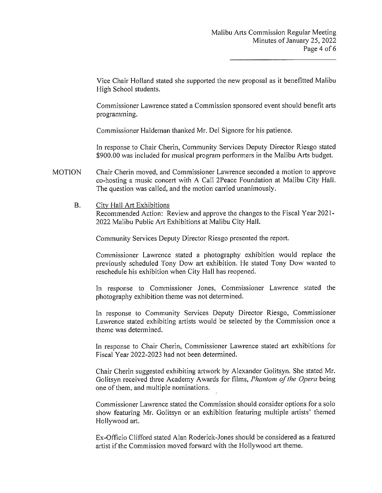Vice Chair Holland stated she supported the new proposal as it benefitted Malibu High School students.

Commissioner Lawrence stated a Commission sponsored event should benefit arts programming.

Commissioner Haldeman thanked Mr. Del Signore for his patience.

In response to Chair Cherin, Community Services Deputy Director Riesgo stated \$900.00 was included for musical program performers in the Malibu Arts budget.

- MOTION Chair Cherin moved, and Commissioner Lawrence seconded a motion to approve co-hosting a music concert with A Call 2Peace Foundation at Malibu City Hall. The question was called, and the motion carried unanimously.
	- B. City Hall Art Exhibitions

Recommended Action: Review and approve the changes to the Fiscal Year 2021- 2022 Malibu Public Art Exhibitions at Malibu City Hall.

Community Services Deputy Director Riesgo presented the report.

Commissioner Lawrence stated a photography exhibition would replace the previously scheduled Tony Dow art exhibition. He stated Tony Dow wanted to reschedule his exhibition when City Hall has reopened.

In response to Commissioner Jones, Commissioner Lawrence stated the photography exhibition theme was not determined.

In response to Community Services Deputy Director Riesgo, Commissioner Lawrence stated exhibiting artists would be selected by the Commission once a theme was determined.

In response to Chair Cherin, Commissioner Lawrence stated art exhibitions for Fiscal Year 2022-2023 had not been determined.

Chair Cherin suggested exhibiting artwork by Alexander Golitsyn. She stated Mr. Golitsyn received three Academy Awards for films, *Phantom of the Opera* being one of them, and multiple nominations.

Commissioner Lawrence stated the Commission should consider options for a solo show featuring Mr. Golitsyn or an exhibition featuring multiple artists' themed Hollywood art.

Ex-Officio Clifford stated Alan Roderick-Jones should be considered as a featured artist if the Commission moved forward with the Hollywood art theme.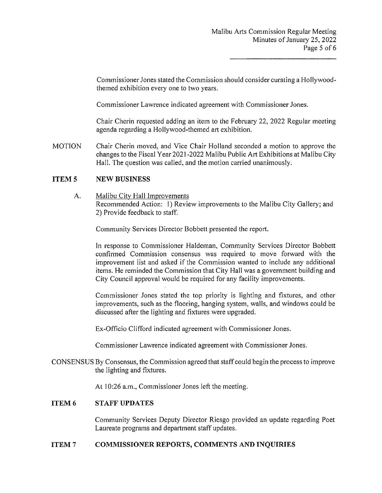Commissioner Jones stated the Commission should consider curating a Hollywoodthemed exhibition every one to two years.

Commissioner Lawrence indicated agreement with Commissioner Jones.

Chair Cherin requested adding an item to the February 22, 2022 Regular meeting agenda regarding a Hollywood-themed art exhibition.

**MOTION** Chair Cherin moved, and Vice Chair Holland seconded a motion to approve the changes to the Fiscal Year 2021-2022 Malibu Public Art Exhibitions at Malibu City Hall. The question was called, and the motion carried unanimously.

### **ITEM<sub>5</sub> NEW BUSINESS**

A. Malibu City Hall Improvements Recommended Action: I) Review improvements to the Malibu City Gallery; and 2) Provide feedback to staff.

Community Services Director Bobbett presented the report.

In response to Commissioner Haldeman, Community Services Director Bobbett confirmed Commission consensus was required to move forward with the improvement list and asked if the Commission wanted to include any additional items. He reminded the Commission that City Hall was a government building and City Council approval would be required for any facility improvements.

Commissioner Jones stated the top priority is lighting and fixtures, and other improvements, such as the flooring, hanging system, walls, and windows could be discussed after the lighting and fixtures were upgraded.

Ex-Officio Clifford indicated agreement with Commissioner Jones.

Commissioner Lawrence indicated agreement with Commissioner Jones.

CONSENSUS By Consensus, the Commission agreed that staff could begin the process to improve the lighting and fixtures.

At 10:26 a.m., Commissioner Jones left the meeting.

### **ITEM6 STAFF UPDATES**

Community Services Deputy Director Riesgo provided an update regarding Poet Laureate programs and department staff updates.

#### **ITEM7 COMMISSIONER REPORTS, COMMENTS AND INQUIRIES**